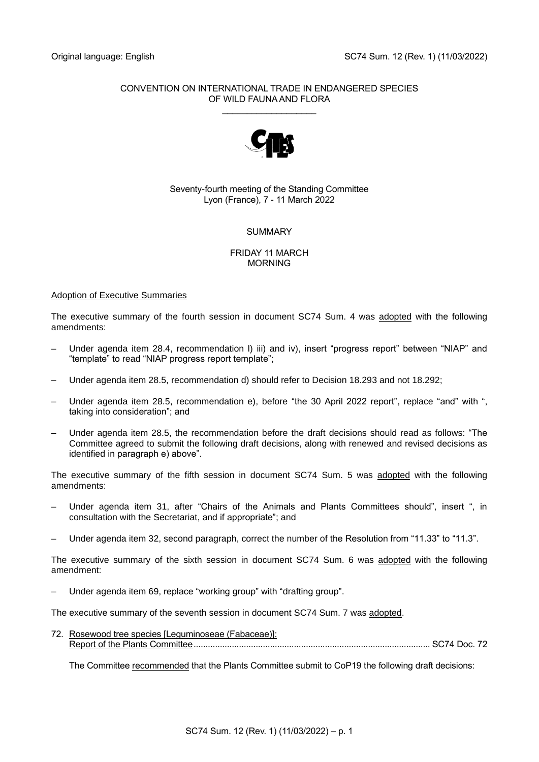# CONVENTION ON INTERNATIONAL TRADE IN ENDANGERED SPECIES OF WILD FAUNA AND FLORA

\_\_\_\_\_\_\_\_\_\_\_\_\_\_\_\_\_\_\_



# Seventy-fourth meeting of the Standing Committee Lyon (France), 7 - 11 March 2022

# SUMMARY

## FRIDAY 11 MARCH MORNING

# Adoption of Executive Summaries

The executive summary of the fourth session in document SC74 Sum. 4 was adopted with the following amendments:

- Under agenda item 28.4, recommendation l) iii) and iv), insert "progress report" between "NIAP" and "template" to read "NIAP progress report template";
- Under agenda item 28.5, recommendation d) should refer to Decision 18.293 and not 18.292;
- Under agenda item 28.5, recommendation e), before "the 30 April 2022 report", replace "and" with ", taking into consideration"; and
- Under agenda item 28.5, the recommendation before the draft decisions should read as follows: "The Committee agreed to submit the following draft decisions, along with renewed and revised decisions as identified in paragraph e) above".

The executive summary of the fifth session in document SC74 Sum. 5 was adopted with the following amendments:

- Under agenda item 31, after "Chairs of the Animals and Plants Committees should", insert ", in consultation with the Secretariat, and if appropriate"; and
- Under agenda item 32, second paragraph, correct the number of the Resolution from "11.33" to "11.3".

The executive summary of the sixth session in document SC74 Sum. 6 was adopted with the following amendment:

– Under agenda item 69, replace "working group" with "drafting group".

The executive summary of the seventh session in document SC74 Sum. 7 was adopted.

72. Rosewood tree species [Leguminoseae (Fabaceae)]: Report of the Plants Committee................................................................................................... SC74 Doc. 72

The Committee recommended that the Plants Committee submit to CoP19 the following draft decisions: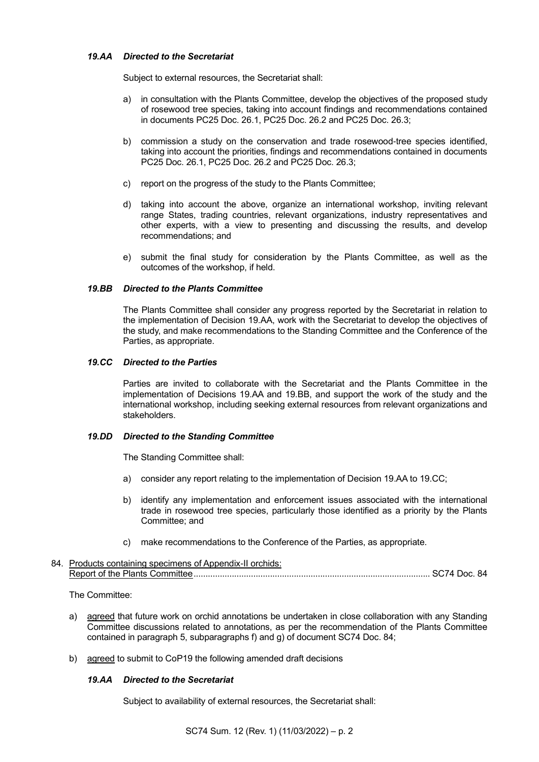## *19.AA Directed to the Secretariat*

Subject to external resources, the Secretariat shall:

- a) in consultation with the Plants Committee, develop the objectives of the proposed study of rosewood tree species, taking into account findings and recommendations contained in documents PC25 Doc. 26.1, PC25 Doc. 26.2 and PC25 Doc. 26.3;
- b) commission a study on the conservation and trade rosewood-tree species identified, taking into account the priorities, findings and recommendations contained in documents PC25 Doc. 26.1, PC25 Doc. 26.2 and PC25 Doc. 26.3;
- c) report on the progress of the study to the Plants Committee;
- d) taking into account the above, organize an international workshop, inviting relevant range States, trading countries, relevant organizations, industry representatives and other experts, with a view to presenting and discussing the results, and develop recommendations; and
- e) submit the final study for consideration by the Plants Committee, as well as the outcomes of the workshop, if held.

## *19.BB Directed to the Plants Committee*

The Plants Committee shall consider any progress reported by the Secretariat in relation to the implementation of Decision 19.AA, work with the Secretariat to develop the objectives of the study, and make recommendations to the Standing Committee and the Conference of the Parties, as appropriate.

## *19.CC Directed to the Parties*

Parties are invited to collaborate with the Secretariat and the Plants Committee in the implementation of Decisions 19.AA and 19.BB, and support the work of the study and the international workshop, including seeking external resources from relevant organizations and stakeholders.

### *19.DD Directed to the Standing Committee*

The Standing Committee shall:

- a) consider any report relating to the implementation of Decision 19.AA to 19.CC;
- b) identify any implementation and enforcement issues associated with the international trade in rosewood tree species, particularly those identified as a priority by the Plants Committee; and
- c) make recommendations to the Conference of the Parties, as appropriate.

### 84. Products containing specimens of Appendix-II orchids: Report of the Plants Committee................................................................................................... SC74 Doc. 84

The Committee:

- a) agreed that future work on orchid annotations be undertaken in close collaboration with any Standing Committee discussions related to annotations, as per the recommendation of the Plants Committee contained in paragraph 5, subparagraphs f) and g) of document SC74 Doc. 84;
- b) agreed to submit to CoP19 the following amended draft decisions

# *19.AA Directed to the Secretariat*

Subject to availability of external resources, the Secretariat shall: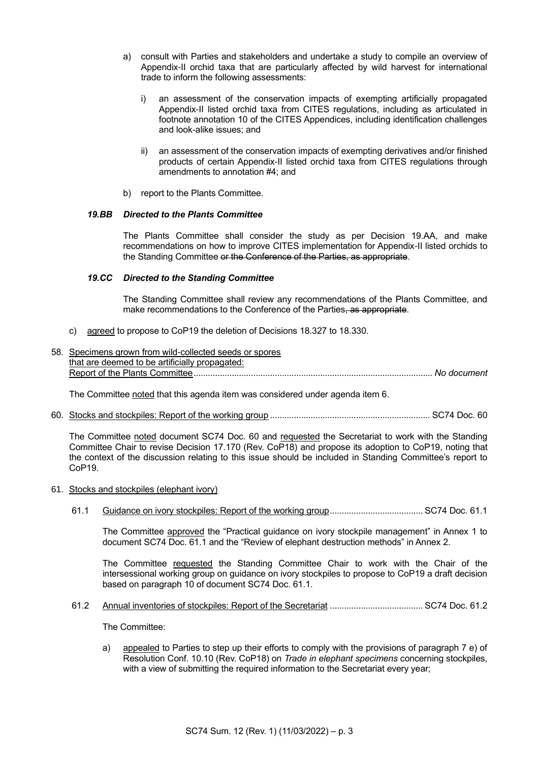- a) consult with Parties and stakeholders and undertake a study to compile an overview of Appendix-II orchid taxa that are particularly affected by wild harvest for international trade to inform the following assessments:
	- i) an assessment of the conservation impacts of exempting artificially propagated Appendix-II listed orchid taxa from CITES regulations, including as articulated in footnote annotation 10 of the CITES Appendices, including identification challenges and look-alike issues; and
	- ii) an assessment of the conservation impacts of exempting derivatives and/or finished products of certain Appendix-II listed orchid taxa from CITES regulations through amendments to annotation #4; and
- b) report to the Plants Committee.

## *19.BB Directed to the Plants Committee*

The Plants Committee shall consider the study as per Decision 19.AA, and make recommendations on how to improve CITES implementation for Appendix-II listed orchids to the Standing Committee or the Conference of the Parties, as appropriate.

## *19.CC Directed to the Standing Committee*

The Standing Committee shall review any recommendations of the Plants Committee, and make recommendations to the Conference of the Parties, as appropriate.

- c) agreed to propose to CoP19 the deletion of Decisions 18.327 to 18.330.
- 58. Specimens grown from wild-collected seeds or spores that are deemed to be artificially propagated: Report of the Plants Committee.................................................................................................... *No document*

The Committee noted that this agenda item was considered under agenda item 6.

60. Stocks and stockpiles: Report of the working group ................................................................... SC74 Doc. 60

The Committee noted document SC74 Doc. 60 and requested the Secretariat to work with the Standing Committee Chair to revise Decision 17.170 (Rev. CoP18) and propose its adoption to CoP19, noting that the context of the discussion relating to this issue should be included in Standing Committee's report to CoP19.

- 61. Stocks and stockpiles (elephant ivory)
	- 61.1 Guidance on ivory stockpiles: Report of the working group....................................... SC74 Doc. 61.1

The Committee approved the "Practical guidance on ivory stockpile management" in Annex 1 to document SC74 Doc. 61.1 and the "Review of elephant destruction methods" in Annex 2.

The Committee requested the Standing Committee Chair to work with the Chair of the intersessional working group on guidance on ivory stockpiles to propose to CoP19 a draft decision based on paragraph 10 of document SC74 Doc. 61.1.

61.2 Annual inventories of stockpiles: Report of the Secretariat ....................................... SC74 Doc. 61.2

The Committee:

a) appealed to Parties to step up their efforts to comply with the provisions of paragraph 7 e) of Resolution Conf. 10.10 (Rev. CoP18) on *Trade in elephant specimens* concerning stockpiles, with a view of submitting the required information to the Secretariat every year;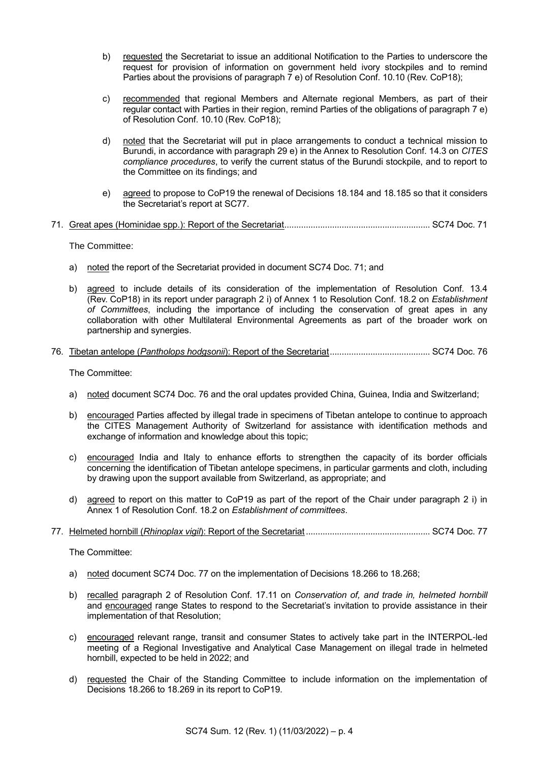- b) requested the Secretariat to issue an additional Notification to the Parties to underscore the request for provision of information on government held ivory stockpiles and to remind Parties about the provisions of paragraph 7 e) of Resolution Conf. 10.10 (Rev. CoP18);
- c) recommended that regional Members and Alternate regional Members, as part of their regular contact with Parties in their region, remind Parties of the obligations of paragraph 7 e) of Resolution Conf. 10.10 (Rev. CoP18);
- d) noted that the Secretariat will put in place arrangements to conduct a technical mission to Burundi, in accordance with paragraph 29 e) in the Annex to Resolution Conf. 14.3 on *CITES compliance procedures*, to verify the current status of the Burundi stockpile, and to report to the Committee on its findings; and
- e) agreed to propose to CoP19 the renewal of Decisions 18.184 and 18.185 so that it considers the Secretariat's report at SC77.
- 71. Great apes (Hominidae spp.): Report of the Secretariat............................................................. SC74 Doc. 71

The Committee:

- a) noted the report of the Secretariat provided in document SC74 Doc. 71; and
- b) agreed to include details of its consideration of the implementation of Resolution Conf. 13.4 (Rev. CoP18) in its report under paragraph 2 i) of Annex 1 to Resolution Conf. 18.2 on *Establishment of Committees*, including the importance of including the conservation of great apes in any collaboration with other Multilateral Environmental Agreements as part of the broader work on partnership and synergies.
- 76. Tibetan antelope (*Pantholops hodgsonii*): Report of the Secretariat.......................................... SC74 Doc. 76

The Committee:

- a) noted document SC74 Doc. 76 and the oral updates provided China, Guinea, India and Switzerland;
- b) encouraged Parties affected by illegal trade in specimens of Tibetan antelope to continue to approach the CITES Management Authority of Switzerland for assistance with identification methods and exchange of information and knowledge about this topic;
- c) encouraged India and Italy to enhance efforts to strengthen the capacity of its border officials concerning the identification of Tibetan antelope specimens, in particular garments and cloth, including by drawing upon the support available from Switzerland, as appropriate; and
- d) agreed to report on this matter to CoP19 as part of the report of the Chair under paragraph 2 i) in Annex 1 of Resolution Conf. 18.2 on *Establishment of committees*.
- 77. Helmeted hornbill (*Rhinoplax vigil*): Report of the Secretariat .................................................... SC74 Doc. 77

The Committee:

- a) noted document SC74 Doc. 77 on the implementation of Decisions 18.266 to 18.268;
- b) recalled paragraph 2 of Resolution Conf. 17.11 on *Conservation of, and trade in, helmeted hornbill* and encouraged range States to respond to the Secretariat's invitation to provide assistance in their implementation of that Resolution;
- c) encouraged relevant range, transit and consumer States to actively take part in the INTERPOL-led meeting of a Regional Investigative and Analytical Case Management on illegal trade in helmeted hornbill, expected to be held in 2022; and
- d) requested the Chair of the Standing Committee to include information on the implementation of Decisions 18.266 to 18.269 in its report to CoP19.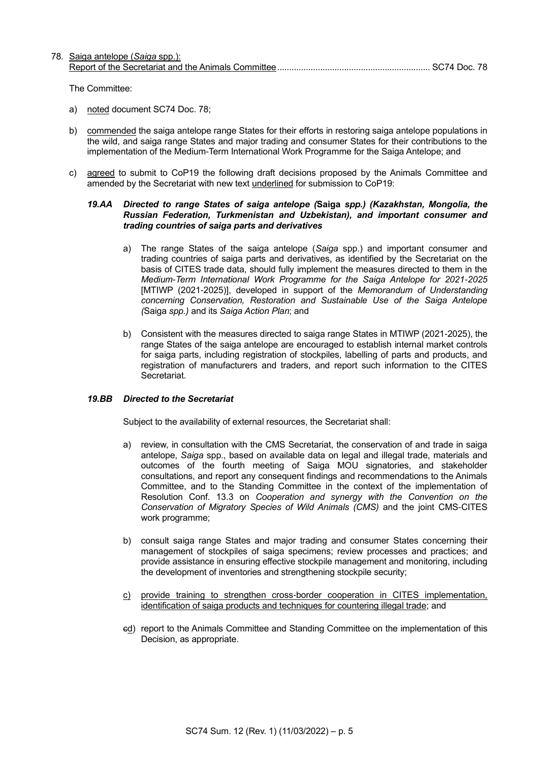## 78. Saiga antelope (*Saiga* spp.): Report of the Secretariat and the Animals Committee................................................................ SC74 Doc. 78

The Committee:

- a) noted document SC74 Doc. 78;
- b) commended the saiga antelope range States for their efforts in restoring saiga antelope populations in the wild, and saiga range States and major trading and consumer States for their contributions to the implementation of the Medium-Term International Work Programme for the Saiga Antelope; and
- c) agreed to submit to CoP19 the following draft decisions proposed by the Animals Committee and amended by the Secretariat with new text underlined for submission to CoP19:

### *19.AA Directed to range States of saiga antelope (***Saiga** *spp.) (Kazakhstan, Mongolia, the Russian Federation, Turkmenistan and Uzbekistan), and important consumer and trading countries of saiga parts and derivatives*

- a) The range States of the saiga antelope (*Saiga* spp.) and important consumer and trading countries of saiga parts and derivatives, as identified by the Secretariat on the basis of CITES trade data, should fully implement the measures directed to them in the *Medium-Term International Work Programme for the Saiga Antelope for 2021-2025*  [MTIWP (2021-2025)], developed in support of the *Memorandum of Understanding concerning Conservation, Restoration and Sustainable Use of the Saiga Antelope (*Saiga *spp.)* and its *Saiga Action Plan*; and
- b) Consistent with the measures directed to saiga range States in MTIWP (2021-2025), the range States of the saiga antelope are encouraged to establish internal market controls for saiga parts, including registration of stockpiles, labelling of parts and products, and registration of manufacturers and traders, and report such information to the CITES Secretariat.

### *19.BB Directed to the Secretariat*

Subject to the availability of external resources, the Secretariat shall:

- a) review, in consultation with the CMS Secretariat, the conservation of and trade in saiga antelope, *Saiga* spp., based on available data on legal and illegal trade, materials and outcomes of the fourth meeting of Saiga MOU signatories, and stakeholder consultations, and report any consequent findings and recommendations to the Animals Committee, and to the Standing Committee in the context of the implementation of Resolution Conf. 13.3 on *Cooperation and synergy with the Convention on the Conservation of Migratory Species of Wild Animals (CMS)* and the joint CMS-CITES work programme;
- b) consult saiga range States and major trading and consumer States concerning their management of stockpiles of saiga specimens; review processes and practices; and provide assistance in ensuring effective stockpile management and monitoring, including the development of inventories and strengthening stockpile security;
- c) provide training to strengthen cross-border cooperation in CITES implementation, identification of saiga products and techniques for countering illegal trade; and
- ed) report to the Animals Committee and Standing Committee on the implementation of this Decision, as appropriate.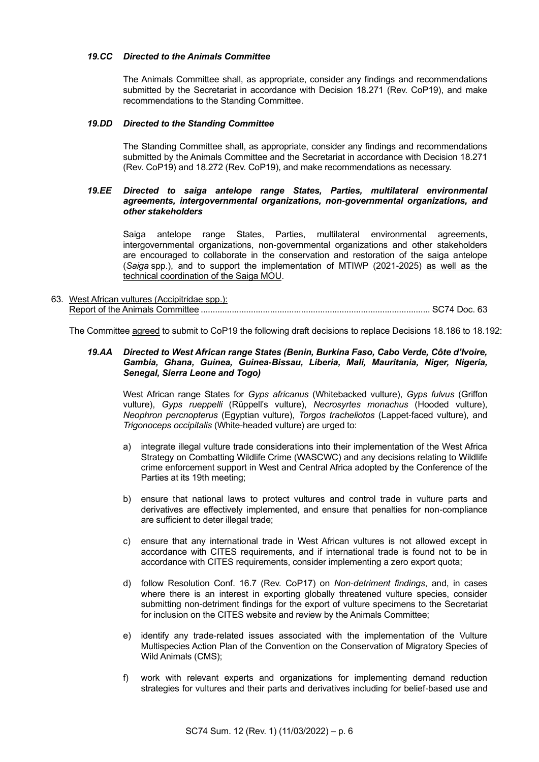## *19.CC Directed to the Animals Committee*

The Animals Committee shall, as appropriate, consider any findings and recommendations submitted by the Secretariat in accordance with Decision 18.271 (Rev. CoP19), and make recommendations to the Standing Committee.

#### *19.DD Directed to the Standing Committee*

The Standing Committee shall, as appropriate, consider any findings and recommendations submitted by the Animals Committee and the Secretariat in accordance with Decision 18.271 (Rev. CoP19) and 18.272 (Rev. CoP19), and make recommendations as necessary.

#### *19.EE Directed to saiga antelope range States, Parties, multilateral environmental agreements, intergovernmental organizations, non-governmental organizations, and other stakeholders*

Saiga antelope range States, Parties, multilateral environmental agreements, intergovernmental organizations, non-governmental organizations and other stakeholders are encouraged to collaborate in the conservation and restoration of the saiga antelope (*Saiga* spp.), and to support the implementation of MTIWP (2021-2025) as well as the technical coordination of the Saiga MOU.

## 63. West African vultures (Accipitridae spp.): Report of the Animals Committee ................................................................................................ SC74 Doc. 63

The Committee agreed to submit to CoP19 the following draft decisions to replace Decisions 18.186 to 18.192:

### *19.AA Directed to West African range States (Benin, Burkina Faso, Cabo Verde, Côte d'Ivoire, Gambia, Ghana, Guinea, Guinea-Bissau, Liberia, Mali, Mauritania, Niger, Nigeria, Senegal, Sierra Leone and Togo)*

West African range States for *Gyps africanus* (Whitebacked vulture), *Gyps fulvus* (Griffon vulture), *Gyps rueppelli* (Rüppell's vulture), *Necrosyrtes monachus* (Hooded vulture), *Neophron percnopterus* (Egyptian vulture), *Torgos tracheliotos* (Lappet-faced vulture), and *Trigonoceps occipitalis* (White-headed vulture) are urged to:

- a) integrate illegal vulture trade considerations into their implementation of the West Africa Strategy on Combatting Wildlife Crime (WASCWC) and any decisions relating to Wildlife crime enforcement support in West and Central Africa adopted by the Conference of the Parties at its 19th meeting;
- b) ensure that national laws to protect vultures and control trade in vulture parts and derivatives are effectively implemented, and ensure that penalties for non-compliance are sufficient to deter illegal trade;
- c) ensure that any international trade in West African vultures is not allowed except in accordance with CITES requirements, and if international trade is found not to be in accordance with CITES requirements, consider implementing a zero export quota;
- d) follow Resolution Conf. 16.7 (Rev. CoP17) on *Non-detriment findings*, and, in cases where there is an interest in exporting globally threatened vulture species, consider submitting non-detriment findings for the export of vulture specimens to the Secretariat for inclusion on the CITES website and review by the Animals Committee;
- e) identify any trade-related issues associated with the implementation of the Vulture Multispecies Action Plan of the Convention on the Conservation of Migratory Species of Wild Animals (CMS);
- f) work with relevant experts and organizations for implementing demand reduction strategies for vultures and their parts and derivatives including for belief-based use and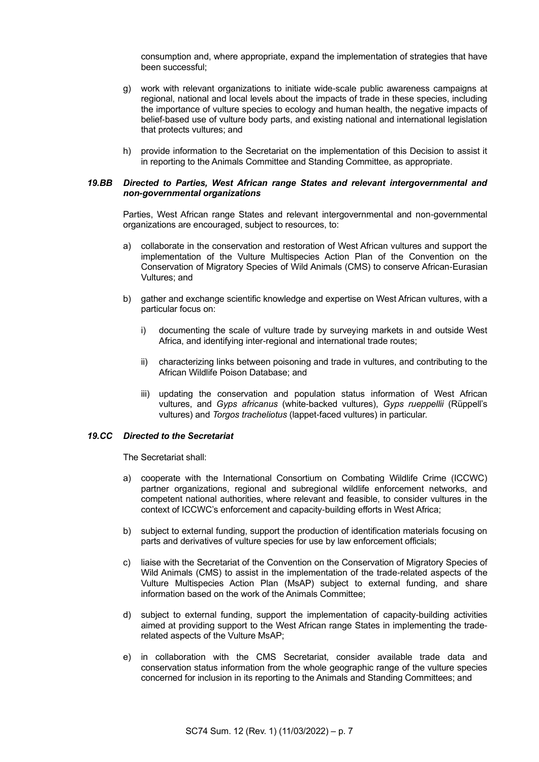consumption and, where appropriate, expand the implementation of strategies that have been successful;

- g) work with relevant organizations to initiate wide-scale public awareness campaigns at regional, national and local levels about the impacts of trade in these species, including the importance of vulture species to ecology and human health, the negative impacts of belief-based use of vulture body parts, and existing national and international legislation that protects vultures; and
- h) provide information to the Secretariat on the implementation of this Decision to assist it in reporting to the Animals Committee and Standing Committee, as appropriate.

#### *19.BB Directed to Parties, West African range States and relevant intergovernmental and non-governmental organizations*

Parties, West African range States and relevant intergovernmental and non-governmental organizations are encouraged, subject to resources, to:

- a) collaborate in the conservation and restoration of West African vultures and support the implementation of the Vulture Multispecies Action Plan of the Convention on the Conservation of Migratory Species of Wild Animals (CMS) to conserve African-Eurasian Vultures; and
- b) gather and exchange scientific knowledge and expertise on West African vultures, with a particular focus on:
	- i) documenting the scale of vulture trade by surveying markets in and outside West Africa, and identifying inter-regional and international trade routes;
	- ii) characterizing links between poisoning and trade in vultures, and contributing to the African Wildlife Poison Database; and
	- iii) updating the conservation and population status information of West African vultures, and *Gyps africanus* (white-backed vultures), *Gyps rueppellii* (Rüppell's vultures) and *Torgos tracheliotus* (lappet-faced vultures) in particular.

### *19.CC Directed to the Secretariat*

The Secretariat shall:

- a) cooperate with the International Consortium on Combating Wildlife Crime (ICCWC) partner organizations, regional and subregional wildlife enforcement networks, and competent national authorities, where relevant and feasible, to consider vultures in the context of ICCWC's enforcement and capacity-building efforts in West Africa;
- b) subject to external funding, support the production of identification materials focusing on parts and derivatives of vulture species for use by law enforcement officials;
- c) liaise with the Secretariat of the Convention on the Conservation of Migratory Species of Wild Animals (CMS) to assist in the implementation of the trade-related aspects of the Vulture Multispecies Action Plan (MsAP) subject to external funding, and share information based on the work of the Animals Committee;
- d) subject to external funding, support the implementation of capacity-building activities aimed at providing support to the West African range States in implementing the traderelated aspects of the Vulture MsAP;
- e) in collaboration with the CMS Secretariat, consider available trade data and conservation status information from the whole geographic range of the vulture species concerned for inclusion in its reporting to the Animals and Standing Committees; and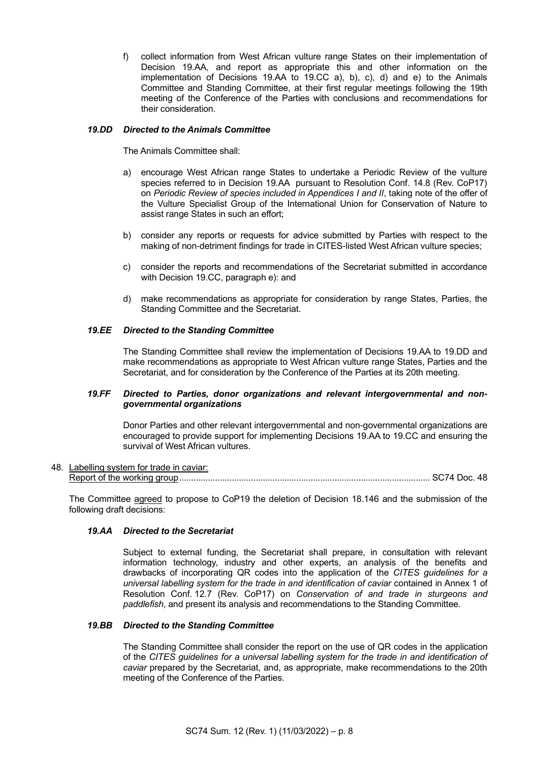f) collect information from West African vulture range States on their implementation of Decision 19.AA, and report as appropriate this and other information on the implementation of Decisions 19.AA to 19.CC a), b), c), d) and e) to the Animals Committee and Standing Committee, at their first regular meetings following the 19th meeting of the Conference of the Parties with conclusions and recommendations for their consideration.

## *19.DD Directed to the Animals Committee*

The Animals Committee shall:

- a) encourage West African range States to undertake a Periodic Review of the vulture species referred to in Decision 19.AA pursuant to Resolution Conf. 14.8 (Rev. CoP17) on *Periodic Review of species included in Appendices I and II*, taking note of the offer of the Vulture Specialist Group of the International Union for Conservation of Nature to assist range States in such an effort;
- b) consider any reports or requests for advice submitted by Parties with respect to the making of non-detriment findings for trade in CITES-listed West African vulture species;
- c) consider the reports and recommendations of the Secretariat submitted in accordance with Decision 19.CC, paragraph e): and
- d) make recommendations as appropriate for consideration by range States, Parties, the Standing Committee and the Secretariat.

## *19.EE Directed to the Standing Committee*

The Standing Committee shall review the implementation of Decisions 19.AA to 19.DD and make recommendations as appropriate to West African vulture range States, Parties and the Secretariat, and for consideration by the Conference of the Parties at its 20th meeting.

### *19.FF Directed to Parties, donor organizations and relevant intergovernmental and nongovernmental organizations*

Donor Parties and other relevant intergovernmental and non-governmental organizations are encouraged to provide support for implementing Decisions 19.AA to 19.CC and ensuring the survival of West African vultures.

#### 48. Labelling system for trade in caviar: Report of the working group......................................................................................................... SC74 Doc. 48

The Committee agreed to propose to CoP19 the deletion of Decision 18.146 and the submission of the following draft decisions:

### *19.AA Directed to the Secretariat*

Subject to external funding, the Secretariat shall prepare, in consultation with relevant information technology, industry and other experts, an analysis of the benefits and drawbacks of incorporating QR codes into the application of the *CITES guidelines for a universal labelling system for the trade in and identification of caviar* contained in Annex 1 of Resolution Conf. 12.7 (Rev. CoP17) on *Conservation of and trade in sturgeons and paddlefish*, and present its analysis and recommendations to the Standing Committee.

### *19.BB Directed to the Standing Committee*

The Standing Committee shall consider the report on the use of QR codes in the application of the *CITES guidelines for a universal labelling system for the trade in and identification of caviar* prepared by the Secretariat, and, as appropriate, make recommendations to the 20th meeting of the Conference of the Parties.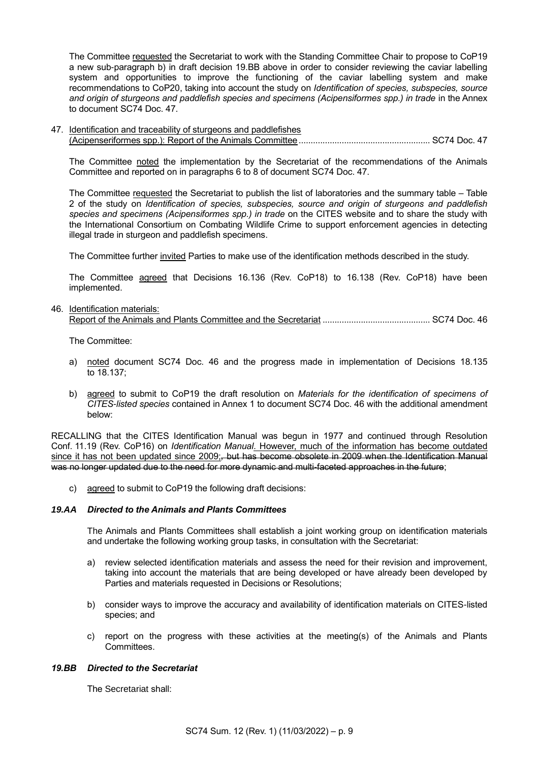The Committee requested the Secretariat to work with the Standing Committee Chair to propose to CoP19 a new sub-paragraph b) in draft decision 19.BB above in order to consider reviewing the caviar labelling system and opportunities to improve the functioning of the caviar labelling system and make recommendations to CoP20, taking into account the study on *Identification of species, subspecies, source and origin of sturgeons and paddlefish species and specimens (Acipensiformes spp.) in trade* in the Annex to document SC74 Doc. 47.

47. Identification and traceability of sturgeons and paddlefishes (Acipenseriformes spp.): Report of the Animals Committee....................................................... SC74 Doc. 47

The Committee noted the implementation by the Secretariat of the recommendations of the Animals Committee and reported on in paragraphs 6 to 8 of document SC74 Doc. 47.

The Committee requested the Secretariat to publish the list of laboratories and the summary table – Table 2 of the study on *Identification of species, subspecies, source and origin of sturgeons and paddlefish species and specimens (Acipensiformes spp.) in trade* on the CITES website and to share the study with the International Consortium on Combating Wildlife Crime to support enforcement agencies in detecting illegal trade in sturgeon and paddlefish specimens.

The Committee further invited Parties to make use of the identification methods described in the study.

The Committee agreed that Decisions 16.136 (Rev. CoP18) to 16.138 (Rev. CoP18) have been implemented.

#### 46. Identification materials:

|--|

The Committee:

- a) noted document SC74 Doc. 46 and the progress made in implementation of Decisions 18.135 to 18.137;
- b) agreed to submit to CoP19 the draft resolution on *Materials for the identification of specimens of CITES-listed species* contained in Annex 1 to document SC74 Doc. 46 with the additional amendment below:

RECALLING that the CITES Identification Manual was begun in 1977 and continued through Resolution Conf. 11.19 (Rev. CoP16) on *Identification Manual*. However, much of the information has become outdated since it has not been updated since 2009;*,* but has become obsolete in 2009 when the Identification Manual was no longer updated due to the need for more dynamic and multi-faceted approaches in the future;

c) agreed to submit to CoP19 the following draft decisions:

## *19.AA Directed to the Animals and Plants Committees*

The Animals and Plants Committees shall establish a joint working group on identification materials and undertake the following working group tasks, in consultation with the Secretariat:

- a) review selected identification materials and assess the need for their revision and improvement, taking into account the materials that are being developed or have already been developed by Parties and materials requested in Decisions or Resolutions;
- b) consider ways to improve the accuracy and availability of identification materials on CITES-listed species; and
- c) report on the progress with these activities at the meeting(s) of the Animals and Plants Committees.

#### *19.BB Directed to the Secretariat*

The Secretariat shall: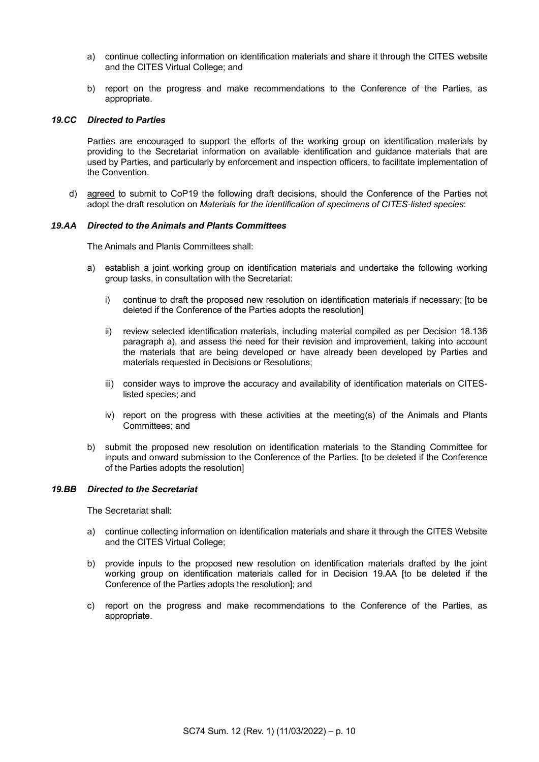- a) continue collecting information on identification materials and share it through the CITES website and the CITES Virtual College; and
- b) report on the progress and make recommendations to the Conference of the Parties, as appropriate.

#### *19.CC Directed to Parties*

Parties are encouraged to support the efforts of the working group on identification materials by providing to the Secretariat information on available identification and guidance materials that are used by Parties, and particularly by enforcement and inspection officers, to facilitate implementation of the Convention.

d) agreed to submit to CoP19 the following draft decisions, should the Conference of the Parties not adopt the draft resolution on *Materials for the identification of specimens of CITES-listed species*:

#### *19.AA Directed to the Animals and Plants Committees*

The Animals and Plants Committees shall:

- a) establish a joint working group on identification materials and undertake the following working group tasks, in consultation with the Secretariat:
	- i) continue to draft the proposed new resolution on identification materials if necessary; [to be deleted if the Conference of the Parties adopts the resolution]
	- ii) review selected identification materials, including material compiled as per Decision 18.136 paragraph a), and assess the need for their revision and improvement, taking into account the materials that are being developed or have already been developed by Parties and materials requested in Decisions or Resolutions;
	- iii) consider ways to improve the accuracy and availability of identification materials on CITESlisted species; and
	- iv) report on the progress with these activities at the meeting(s) of the Animals and Plants Committees; and
- b) submit the proposed new resolution on identification materials to the Standing Committee for inputs and onward submission to the Conference of the Parties. [to be deleted if the Conference of the Parties adopts the resolution]

#### *19.BB Directed to the Secretariat*

The Secretariat shall:

- a) continue collecting information on identification materials and share it through the CITES Website and the CITES Virtual College;
- b) provide inputs to the proposed new resolution on identification materials drafted by the joint working group on identification materials called for in Decision 19.AA [to be deleted if the Conference of the Parties adopts the resolution]; and
- c) report on the progress and make recommendations to the Conference of the Parties, as appropriate.